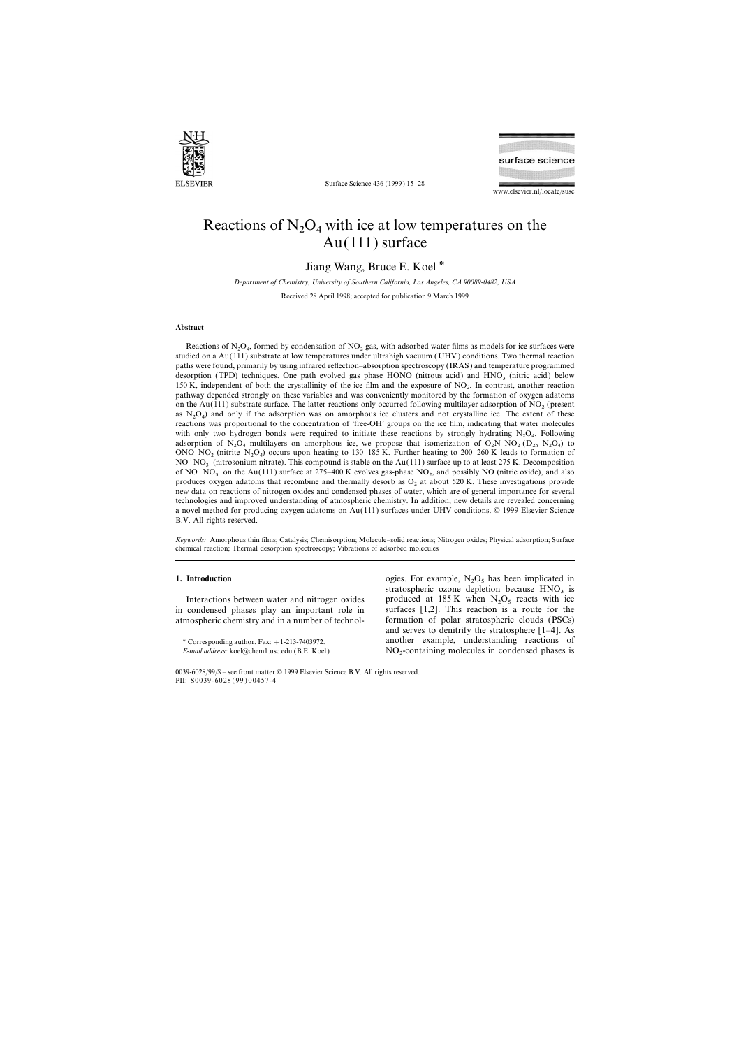

Surface Science 436 (1999) 15–28



www.elsevier.nl/locate/susc

## Reactions of  $N_2O_4$  with ice at low temperatures on the Au(111) surface

Jiang Wang, Bruce E. Koel \*

*Department of Chemistry, University of Southern California, Los Angeles, CA 90089-0482, USA*

Received 28 April 1998; accepted for publication 9 March 1999

## **Abstract**

Reactions of  $N_2O_4$ , formed by condensation of  $NO_2$  gas, with adsorbed water films as models for ice surfaces were studied on a Au(111) substrate at low temperatures under ultrahigh vacuum (UHV ) conditions. Two thermal reaction paths were found, primarily by using infrared reflection–absorption spectroscopy (IRAS) and temperature programmed desorption (TPD) techniques. One path evolved gas phase HONO (nitrous acid) and  $HNO<sub>3</sub>$  (nitric acid) below 150 K, independent of both the crystallinity of the ice film and the exposure of  $NQ_2$ . In contrast, another reaction<br>natures depended strengths on these would be and we assuming the manitored by the formation of supern pathway depended strongly on these variables and was conveniently monitored by the formation of oxygen adatoms on the Au(111) substrate surface. The latter reactions only occurred following multilayer adsorption of  $NO<sub>2</sub>$  (present as  $N_2O_4$ ) and only if the adsorption was on amorphous ice clusters and not crystalline ice. The extent of these reactions was proportional to the concentration of 'free-OH' groups on the ice film, indicating that water molecules with only two hydrogen bonds were required to initiate these reactions by strongly hydrating  $N_2O_4$ . Following adsorption of N<sub>2</sub>O<sub>4</sub> multilayers on amorphous ice, we propose that isomerization of O<sub>2</sub>N–NO<sub>2</sub> (D<sub>2h</sub>–N<sub>2</sub>O<sub>4</sub>) to<br>ONO NO (citation N<sub>0</sub>) source were hasting to 120, 125 K. Eurthan hasting to 200, 200 K lands to format ONO–NO<sub>2</sub> (nitrite–N<sub>2</sub>O<sub>4</sub>) occurs upon heating to 130–185 K. Further heating to 200–260 K leads to formation of<br>NO<sup>+NO</sup><sub>2</sub> (nitries only nitrite). This company is stable an the Au(111) surface up to at least 275 K. Dece  $NO^{+}NO_{3}^{-}$  (nitrosonium nitrate). This compound is stable on the Au(111) surface up to at least 275 K. Decomposition  $\epsilon_{\text{A}}\Omega_{\text{A}}^{+}$ of NO<sup>+</sup>NO<sub>3</sub> on the Au(111) surface at 275–400 K evolves gas-phase NO<sub>2</sub>, and possibly NO (nitric oxide), and also produces oxygen adatoms that recombine and thermally desorb as  $O_2$  at about 520 K. These investigations provide new data on reactions of nitrogen oxides and condensed phases of water, which are of general importance for several technologies and improved understanding of atmospheric chemistry. In addition, new details are revealed concerning a novel method for producing oxygen adatoms on Au(111) surfaces under UHV conditions. © 1999 Elsevier Science B.V. All rights reserved.

*Keywords:* Amorphous thin films; Catalysis; Chemisorption; Molecule–solid reactions; Nitrogen oxides; Physical adsorption; Surface chemical reaction; Thermal desorption spectroscopy; Vibrations of adsorbed molecules

in condensed phases play an important role in surfaces [1,2]. This reaction is a route for the atmospheric chemistry and in a number of technol- formation of polar stratospheric clouds (PSCs)

**1. Introduction** ogies. For example,  $N_2O_5$  has been implicated in  $\alpha$  attachming against depletion because  $N_1O$  is stratospheric ozone depletion because  $HNO<sub>3</sub>$  is Interactions between water and nitrogen oxides produced at  $185 \text{ K}$  when  $N_2O_5$  reacts with ice and serves to denitrify the stratosphere [1–4]. As \* Corresponding author. Fax: <sup>+</sup>1-213-7403972. another example, understanding reactions of  $NO<sub>2</sub>$ -containing molecules in condensed phases is

*E-mail address:* koel@chem1.usc.edu (B.E. Koel)

<sup>0039-6028</sup>/99/\$ – see front matter © 1999 Elsevier Science B.V. All rights reserved. PII: S0039-6028 ( 99 ) 00457-4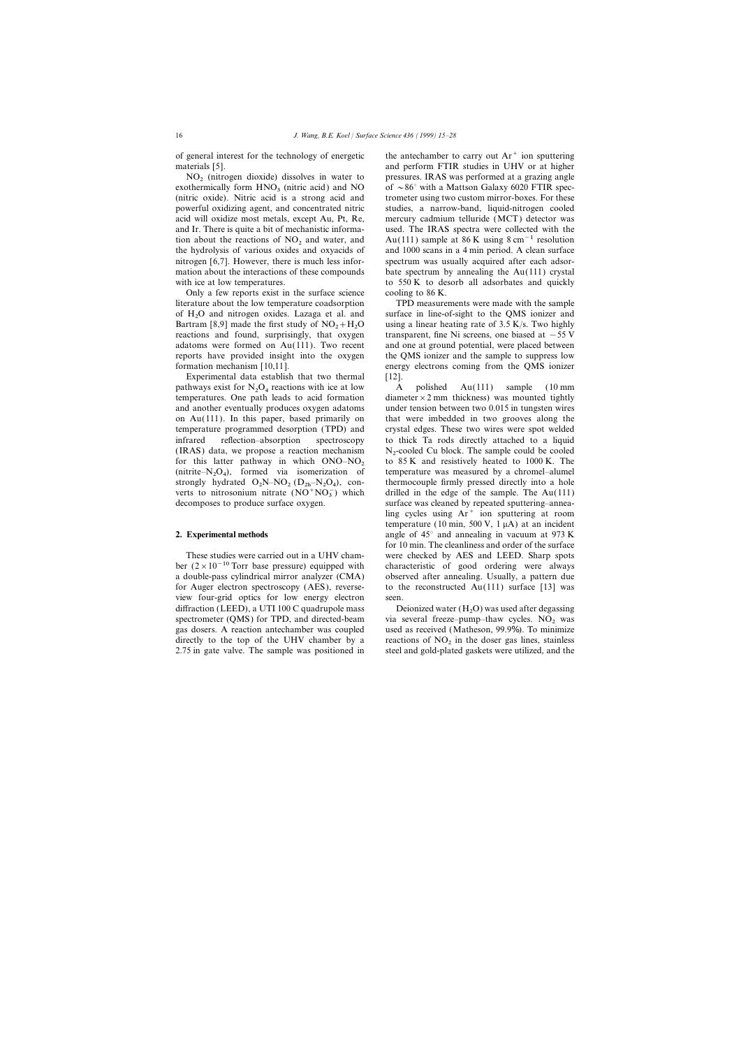of general interest for the technology of energetic the antechamber to carry out  $Ar^+$  ion sputtering

exothermically form  $HNO<sub>3</sub>$  (nitric acid) and NO (nitric oxide). Nitric acid is a strong acid and powerful oxidizing agent, and concentrated nitric studies, a narrow-band, liquid-nitrogen cooled acid will oxidize most metals, except Au, Pt, Re, mercury cadmium telluride (MCT) detector was and Ir. There is quite a bit of mechanistic informa- used. The IRAS spectra were collected with the the hydrolysis of various oxides and oxyacids of nitrogen [6,7]. However, there is much less infor- spectrum was usually acquired after each adsormation about the interactions of these compounds bate spectrum by annealing the Au(111) crystal with ice at low temperatures. to 550 K to desorb all adsorbates and quickly

Only a few reports exist in the surface science cooling to 86 K. literature about the low temperature coadsorption TPD measurements were made with the sample of  $H<sub>2</sub>O$  and nitrogen oxides. Lazaga et al. and Bartram [8,9] made the first study of  $NO<sub>2</sub>+H<sub>2</sub>$ reactions and found, surprisingly, that oxygen transparent, fine Ni screens, one biased at −55 V adatoms were formed on  $Au(111)$ . Two recent and one at ground potential, were placed between reports have provided insight into the oxygen the QMS ionizer and the sample to suppress low formation mechanism [10,11]. energy electrons coming from the QMS ionizer

Experimental data establish that two thermal [12]. pathways exist for  $N_2O_4$  reactions with ice at low  $\overline{A}$  polished  $\overline{Au(111)}$  sample (10 mm temperatures. One path leads to acid formation diameter  $\times$  2 mm thickness) was mounted tightly and another eventually produces oxygen adatoms under tension between two 0.015 in tungsten wires on Au(111). In this paper, based primarily on that were imbedded in two grooves along the temperature programmed desorption (TPD) and crystal edges. These two wires were spot welded infrared reflection–absorption spectroscopy to thick Ta rods directly attached to a liquid (IRAS) data, we propose a reaction mechanism  $N_2$ -cooled Cu block. The sample could be cooled for this latter pathway in which  $ONO-NO_2$  to 85 K and resistively heated to 1000 K. The for this latter pathway in which  $ONO-NO_2$  to 85 K and resistively heated to 1000 K. The (nitrite–N<sub>2</sub>O<sub>4</sub>), formed via isomerization of temperature was measured by a chromel–alumel strongly hydrated  $O_2N-NO_2 (D_{2h}-N_2O_4)$ , con-<br>which differently pressed directly into a hole 2 hole 2 and 2 hole 2 hole 2 hole 2 hole 2 hole 2 hole 2 hole 2 hole 2 hole 2 hole 2 hole 2 hole 2 hole 2 hole 2 hole 2 hole 2 verts to nitrosonium nitrate  $(NO^+NO_3^-)$  which decomposes to produce surface oxygen. surface was cleaned by repeated sputtering–annea-

ber (2×10−10 Torr base pressure) equipped with characteristic of good ordering were always a double-pass cylindrical mirror analyzer (CMA) observed after annealing. Usually, a pattern due for Auger electron spectroscopy (AES), reverse- to the reconstructed  $Au(111)$  surface [13] was view four-grid optics for low energy electron seen. diffraction (LEED), a UTI 100 C quadrupole mass spectrometer (QMS) for TPD, and directed-beam spectrometer (QMS) for TPD, and directed-beam via several freeze–pump–thaw cycles.  $NO_2$  was gas dosers. A reaction antechamber was coupled used as received (Matheson, 99.9%). To minimize directly to the top of the UHV chamber by a interactions of  $NO<sub>2</sub>$  in the doser gas lines, stainless 2.75 in gate valve. The sample was positioned in steel and gold-plated gaskets were utilized, and the

materials [5]. and perform FTIR studies in UHV or at higher  $NO<sub>2</sub>$  (nitrogen dioxide) dissolves in water to pressures. IRAS was performed at a grazing angle othermically form  $HNO<sub>3</sub>$  (nitric acid) and  $NO$  of  $\sim 86^\circ$  with a Mattson Galaxy 6020 FTIR spectrometer using two custom mirror-boxes. For these tion about the reactions of NO<sub>2</sub> and water, and Au(111) sample at 86 K using 8 cm<sup>-1</sup> resolution<br>the hydrolysis of various oxides and oxyacids of and 1000 scans in a 4 min period. A clean surface

> surface in line-of-sight to the QMS ionizer and using a linear heating rate of  $3.5$  K/s. Two highly

 $N_2$ -cooled Cu block. The sample could be cooled temperature was measured by a chromel–alumel drilled in the edge of the sample. The  $Au(111)$ ling cycles using  $Ar^+$  ion sputtering at room temperature (10 min, 500 V, 1  $\mu$ A) at an incident **2. Experimental methods** angle of 45° and annealing in vacuum at 973 K for 10 min. The cleanliness and order of the surface These studies were carried out in a UHV cham- were checked by AES and LEED. Sharp spots

Deionized water  $(H_2O)$  was used after degassing used as received (Matheson, 99.9%). To minimize steel and gold-plated gaskets were utilized, and the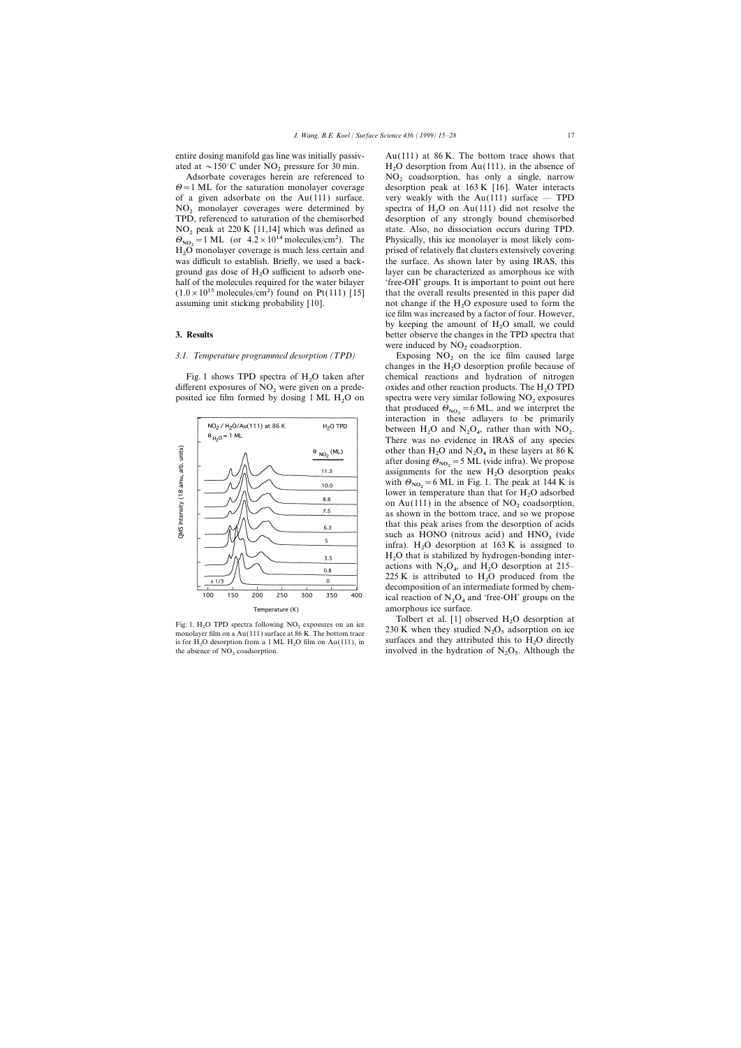assuming unit sticking probability [10].

## 3.1. Temperature programmed desorption (TPD) Exposing NO<sub>2</sub> on the ice film caused large

Fig. 1 shows TPD spectra of  $H<sub>2</sub>O$  taken after different exposures of  $NO<sub>2</sub>$  were given on a predeposited ice film formed by dosing  $1 \text{ ML } H_2$ O on



monolayer film on a Au(111) surface at 86 K. The bottom trace O desorption from a 1 ML  $H_2O$  film on Au(111), in

entire dosing manifold gas line was initially passiv- Au(111) at 86 K. The bottom trace shows that ated at  $\sim$ 150°C under NO<sub>2</sub> pressure for 30 min. H<sub>2</sub>O desorption from Au(111), in the absence of Adsorbate coverages herein are referenced to NO<sub>2</sub> coadsorption, has only a single, narrow Adsorbate coverages herein are referenced to  $NO_2$  coadsorption, has only a single, narrow  $\theta = 1$  ML for the saturation monolayer coverage desorption peak at 163 K [16]. Water interacts desorption peak at 163 K  $[16]$ . Water interacts of a given adsorbate on the Au(111) surface. very weakly with the Au(111) surface  $-$  TPD  $NO<sub>2</sub>$  monolayer coverages were determined by spectra of  $H<sub>2</sub>O$  on Au(111) did not resolve the TPD, referenced to saturation of the chemisorbed desorption of any strongly bound chemisorbed desorption of any strongly bound chemisorbed NO<sub>2</sub> peak at 220 K [11,14] which was defined as state. Also, no dissociation occurs during TPD.<br> $\Theta_{\text{NO}_2}$  = 1 ML (or 4.2 × 10<sup>14</sup> molecules/cm<sup>2</sup>). The Physically, this ice monolayer is most likely com- $\theta_{\text{NO}_2}$  = 1 ML (or 4.2 × 10<sup>14</sup> molecules/cm<sup>2</sup>). The Physically, this ice monolayer is most likely com-<br>H<sub>2</sub>O monolayer coverage is much less certain and prised of relatively flat clusters extensively covering<br>the s Physically, this ice monolayer is most likely comwas difficult to establish. Briefly, we used a back-<br>the surface. As shown later by using IRAS, this ground gas dose of  $H_2O$  sufficient to adsorb one-<br>half of the malagular assumed for the water hilance. (free  $OU$  groups. It is important to naint and happen half of the molecules required for the water bilayer 'free-OH' groups. It is important to point out here  $(1.0\times10^{15} \text{ molecules/cm}^2)$  found on Pt(111) [15] that the overall results presented in this paper did not change if the  $H<sub>2</sub>O$  exposure used to form the ice film was increased by a factor of four. However, by keeping the amount of  $H_2O$  small, we could<br>better absence the absence in the TPD greatra that **3. Results** better observe the changes in the TPD spectra that were induced by  $NO<sub>2</sub>$  coadsorption.

> changes in the  $H_2O$  desorption profile because of changes of  $\epsilon$  is the contract of  $\epsilon$  is the contract of  $\epsilon$ chemical reactions and hydration of nitrogen oxides and other reaction products. The  $H_2O$  TPD spectra were very similar following  $NO<sub>2</sub>$  exposures that produced  $\Theta_{NO_2} = 6 \text{ ML}$ , and we interpret the interaction in these adlayers to be primarily that produced  $\Theta_{NO_2}$  = 6 ML, and we interpret the between  $H_2O$  and  $N_2O_4$ , rather than with  $NO_2$ .<br>There we go evidence in IBAS of any encourage There was no evidence in IRAS of any species other than  $H_2O$  and  $N_2O_4$  in these layers at 86 K after dosing  $\Theta_{\text{NO}_2}$  = 5 ML (vide infra). We propose assignments for the new H<sub>2</sub>O desorption peaks assignments for the new  $H_2O$  desorption peaks with  $\Theta_{\text{NO}_2}$  = 6 ML in Fig. 1. The peak at 144 K is lower in temperature than that for H<sub>2</sub>O adsorbed lower in temperature than that for  $H_2O$  adsorbed<br>on  $\Delta v(111)$  in the absence of NO association on Au(111) in the absence of  $NO<sub>2</sub>$  coadsorption, as shown in the bottom trace, and so we propose that this peak arises from the desorption of acids such as HONO (nitrous acid) and  $HNO<sub>3</sub>$  (vide infra).  $H_2O$  desorption at 163 K is assigned to  $H_2O$  that is at higher by hydrogen handing inter- $H_2O$  that is stabilized by hydrogen-bonding inter-<br>extinct with  $N_O$  and  $H_O$  described at  $215$ actions with  $N_2O_4$ , and  $H_2O$  desorption at 215–<br>225 K is attributed to H  $O$  graduated from the 225 K is attributed to  $H_2O$  produced from the<br>decomposition of an intermediate formed by share decomposition of an intermediate formed by chemical reaction of  $N_2O_4$  and 'free-OH' groups on the amorphous ice surface.

Tolbert et al. [1] observed  $H_2O$  desorption at Fig. 1. H<sub>2</sub>O TPD spectra following NO<sub>2</sub> exposures on an ice<br>monolayer film on a Au(111) surface at 86 K. The bottom trace<br>230 K when they studied N<sub>2</sub>O<sub>5</sub> adsorption on ice is for H<sub>2</sub>O desorption from a 1 ML H<sub>2</sub>O film on Au(111), in surfaces and they attributed this to H<sub>2</sub>O directly the absence of NO<sub>2</sub> coadsorption. involved in the hydration of N<sub>2</sub>O<sub>5</sub>. Although the the absence of NO<sub>2</sub> coadsorption. involved in the hydration of  $N_2O_5$ . Although the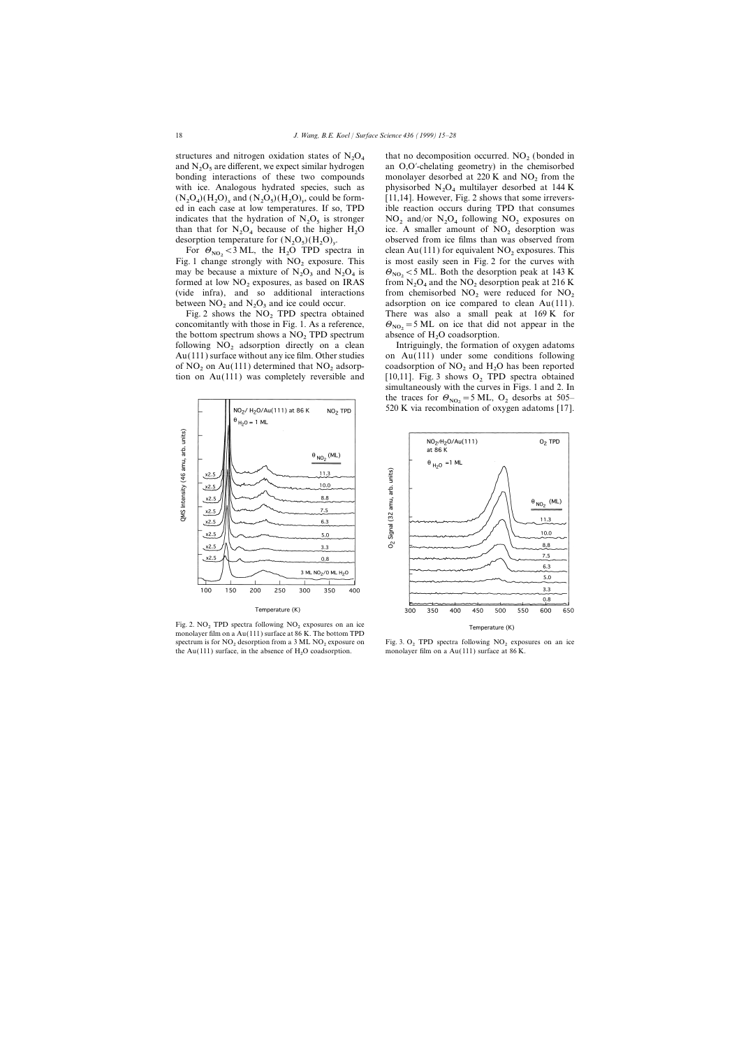structures and nitrogen oxidation states of  $N_2O_4$ and  $N<sub>2</sub>O<sub>5</sub>$  are different, we expect similar hydrogen with ice. Analogous hydrated species, such as  $(N_2O_4)(H_2O)_x$  and  $(N_2O_5)(H_2O)_y$ indicates that the hydration of  $N_2O_5$  is stronger  $O_4$  because of the higher  $H_2O$ desorption temperature for  $(N_2O_5)(H_2O)_y$ 

 $\lt$ 3 ML, the H<sub>2</sub>O TPD spectra in formed at low  $NO<sub>2</sub>$  exposures, as based on IRAS (vide infra), and so additional interactions between  $NO_2$  and  $N_2O_3$  and ice could occur.

Fig. 2 shows the  $NO<sub>2</sub>$  TPD spectra obtained concomitantly with those in Fig. 1. As a reference, concomitantly with those in Fig. 1. As a reference,  $\Theta_{\text{NO}_2} = 5 \text{ ML}$  on ice that did<br>the bottom spectrum shows a NO<sub>2</sub> TPD spectrum absence of H<sub>2</sub>O coadsorption. Au(111) surface without any ice film. Other studies of NO<sub>2</sub> on Au(111) determined that NO<sub>2</sub> adsorption on Au(111) was completely reversible and



Fig. 2. NO<sub>2</sub> TPD spectra following  $NO<sub>2</sub>$  exposures on an ice monolayer film on a Au(111) surface at 86 K. The bottom TPD spectrum is for  $NO_2$  desorption from a 3 ML NO<sub>2</sub> exposure on Fig. 3. O<sub>2</sub> TPD spectra following NO<sub>2</sub> exposures on an ice the Au(111) surface, in the absence of  $H<sub>2</sub>O$  coadsorption.

that no decomposition occurred.  $NO<sub>2</sub>$  (bonded in and  $N_2O_5$  are different, we expect similar hydrogen an O,O′-chelating geometry) in the chemisorbed bonding interactions of these two compounds monolayer desorbed at 220 K and NO<sub>2</sub> from the monolayer desorbed at 220 K and  $NO<sub>2</sub>$  from the physisorbed  $N_2O_4$  multilayer desorbed at 144 K  $[11, 14]$ . However, Fig. 2 shows that some irreversed in each case at low temperatures. If so, TPD ible reaction occurs during TPD that consumes  $O_5$  is stronger  $NO_2$  and/or  $N_2O_4$  following  $NO_2$  exposures on ice. A smaller amount of  $NO<sub>2</sub>$  desorption was . observed from ice films than was observed from clean Au(111) for equivalent  $NO<sub>2</sub>$  exposures. This is most easily seen in Fig. 2 for the curves with Fig. 1 change strongly with NO<sub>2</sub> exposure. This is most easily seen in Fig. 2 for the curves with may be because a mixture of N<sub>2</sub>O<sub>3</sub> and N<sub>2</sub>O<sub>4</sub> is  $\theta_{\text{NO}_2}$  < 5 ML. Both the desorption peak at 143 K may be because a mixture of N<sub>2</sub>O<sub>3</sub> and N<sub>2</sub>O<sub>4</sub> is  $\theta_{\text{NO}_2} < 5$  ML. Both the desorption peak at 143 K formed at low NO<sub>2</sub> exposures, as based on IRAS from N<sub>2</sub>O<sub>4</sub> and the NO<sub>2</sub> desorption peak at 216 K from  $N_2O_4$  and the  $NO_2$  desorption peak at 216 K from chemisorbed  $NO<sub>2</sub>$  were reduced for  $NO<sub>2</sub>$ adsorption on ice compared to clean  $Au(111)$ .<br>There was also a small peak at  $169 K$  for  $\Theta_{\text{NO}_2}$  = 5 ML on ice that did not appear in the

following  $NO_2$  adsorption directly on a clean Intriguingly, the formation of oxygen adatoms  $Au(111)$  surface without any ice film. Other studies on  $Au(111)$  under some conditions following coadsorption of  $NO<sub>2</sub>$  and  $H<sub>2</sub>O$  has been reported [10,11]. Fig. 3 shows  $O<sub>2</sub>$  TPD spectra obtained simultaneously with the curves in Figs. 1 and 2. In the traces for  $\Theta_{NO_2} = 5 \text{ ML}$ ,  $\Theta_2$  desorbs at 505–520 K via recombination of oxygen adatoms [17]. the traces for  $\Theta_{NO_2}$  = 5 ML, O<sub>2</sub> desorbs at 505–



monolayer film on a Au(111) surface at  $86$  K.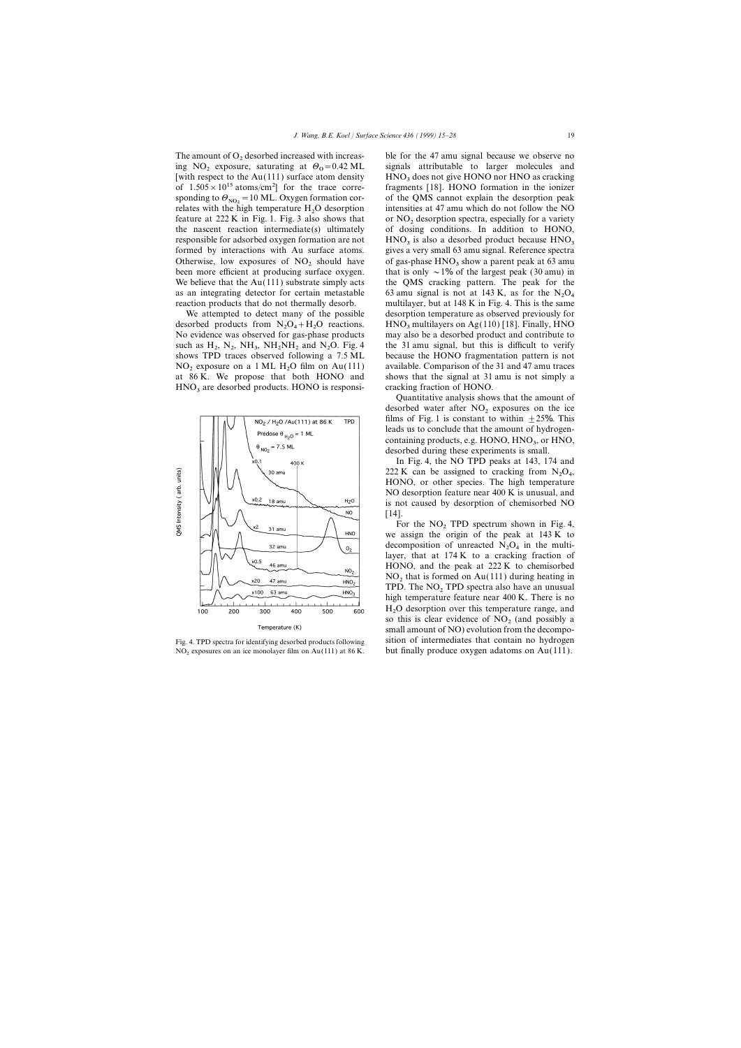The amount of O<sub>2</sub> desorbed increased with increas-<br>in the 47 amu signal because we observe no<br>ing NO<sub>2</sub> exposure, saturating at  $\theta_0 = 0.42$  ML signals attributable to larger molecules and of  $1.505 \times 10^{15}$  atoms/cm<sup>2</sup>] for the trace corresponding to  $\Theta_{\text{NO}_2}$  = 10 ML. Oxygen formation correlates with the high temperature H<sub>2</sub>O desorption as an integrating detector for certain metastable reaction products that do not thermally desorb.

desorbed products from  $N_2O_4 + H_2$ <br>No exidence was absented for  $\cos n$ such as  $H_2$ ,  $N_2$ ,  $NH_3$ ,  $NH_2NH_2$  and  $N_2$ <br>shows TPD traces showed following  $NO<sub>2</sub>$  exposure on a 1 ML H<sub>2</sub>O film on Au(111) at 86 K. We propose that both HONO and  $HNO<sub>3</sub>$  are desorbed products. HONO is responsi- cracking fraction of HONO.



NO<sup>2</sup> exposures on an ice monolayer film on Au(111) at 86 K. but finally produce oxygen adatoms on Au(111).

ing  $NO_2$  exposure, saturating at  $\Theta_0 = 0.42 \text{ ML}$  signals attributable to larger molecules and  $\Theta_2$  exposure, saturating at  $\Theta_0 = 0.42 \text{ ML}$ [with respect to the Au(111) surface atom density  $HNO<sub>3</sub>$  does not give HONO nor HNO as cracking of  $1.505 \times 10^{15}$  atoms/cm<sup>2</sup>] for the trace corre-<br>fragments [18]. HONO formation in the ionizer of the QMS cannot explain the desorption peak relates with the high temperature  $H_2O$  desorption intensities at 47 amu which do not follow the NO feature at 222 K in Fig. 1. Fig. 3 also shows that or NO, desorption spectra, especially for a variety feature at 222 K in Fig. 1. Fig. 3 also shows that or  $NO<sub>2</sub>$  desorption spectra, especially for a variety the nascent reaction intermediate(s) ultimately of dosing conditions. In addition to HONO, of dosing conditions. In addition to HONO, responsible for adsorbed oxygen formation are not  $HNO<sub>3</sub>$  is also a desorbed product because  $HNO<sub>3</sub>$  formed by interactions with Au surface atoms. gives a very small 63 amu signal. Reference spectra Otherwise, low exposures of  $NO_2$  should have of gas-phase  $HNO_3$  show a parent peak at 63 amu been more efficient at producing surface oxygen. that is only  $\sim 1\%$  of the largest peak (30 amu) in that is only  $\sim 1\%$  of the largest peak (30 amu) in We believe that the  $Au(111)$  substrate simply acts the OMS cracking pattern. The peak for the 63 amu signal is not at 143 K, as for the  $N_2O_4$ multilayer, but at  $148 \text{ K}$  in Fig. 4. This is the same We attempted to detect many of the possible desorption temperature as observed previously for desorbed products from  $N_2O_4 + H_2O$  reactions. HNO<sub>3</sub> multilayers on Ag(110) [18]. Finally, HNO<br>No evidence was observed for gas-phase products may also be a desorbed product and contribute to may also be a desorbed product and contribute to the 31 amu signal, but this is difficult to verify shows TPD traces observed following a 7.5 ML because the HONO fragmentation pattern is not available. Comparison of the 31 and 47 amu traces shows that the signal at 31 amu is not simply a

> Quantitative analysis shows that the amount of desorbed water after  $NO<sub>2</sub>$  exposures on the ice films of Fig. 1 is constant to within  $\pm 25\%$ . This leads us to conclude that the amount of hydrogencontaining products, e.g.  $HONO$ ,  $HNO<sub>3</sub>$ , or  $HNO$ ,  $desched$  during these experiments is emall desorbed during these experiments is small.

> In Fig. 4, the NO TPD peaks at 143, 174 and 222 K can be assigned to cracking from  $N_2O_4$ ,<br>HOMO on other gracies. The high temperature HONO, or other species. The high temperature NO desorption feature near 400 K is unusual, and is not caused by desorption of chemisorbed NO [14].

For the  $NO<sub>2</sub>$  TPD spectrum shown in Fig. 4, we assign the origin of the peak at 143 K to decomposition of unreacted  $N_2O_4$  in the multi-<br>layer, that at 174 K to a speaking function of layer, that at 174 K to a cracking fraction of HONO, and the peak at 222 K to chemisorbed  $NO<sub>2</sub>$  that is formed on Au(111) during heating in TPD. The  $NO<sub>2</sub>$  TPD spectra also have an unusual high temperature feature near 400 K. There is no H2 O desorption over this temperature range, and so this is clear evidence of  $NO<sub>2</sub>$  (and possibly a small amount of NO) evolution from the decompo-Fig. 4. TPD spectra for identifying desorbed products following sition of intermediates that contain no hydrogen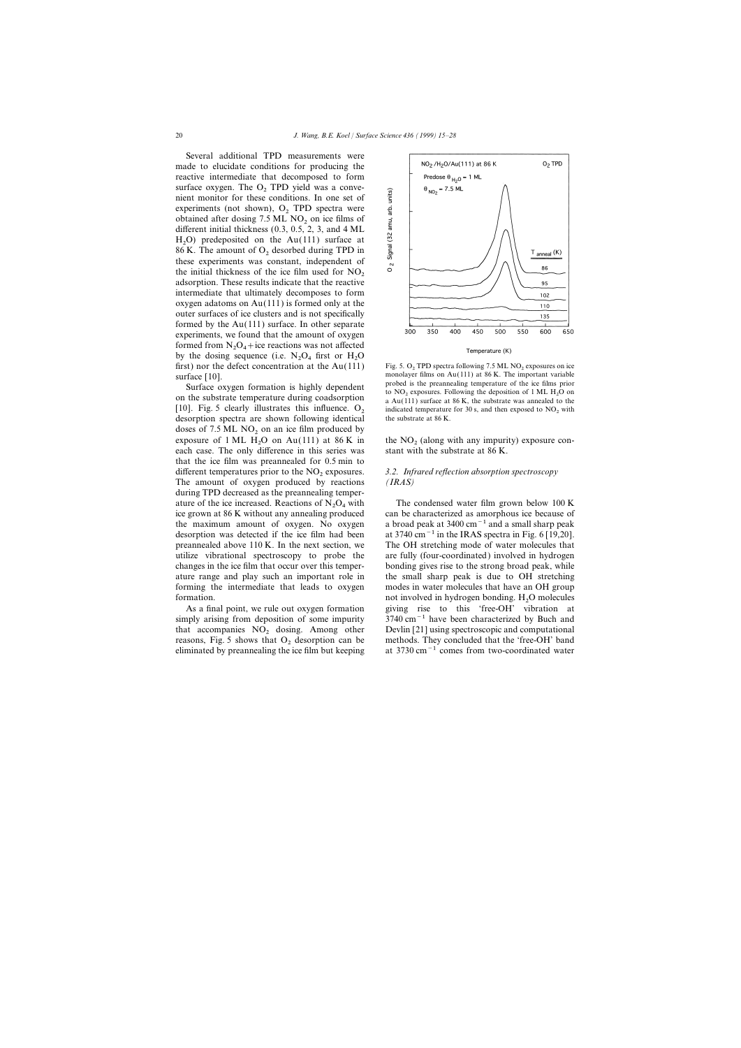Several additional TPD measurements were made to elucidate conditions for producing the reactive intermediate that decomposed to form surface oxygen. The  $O<sub>2</sub>$  TPD yield was a convenient monitor for these conditions. In one set of experiments (not shown),  $O_2$  TPD spectra were obtained after dosing  $7.5$  ML NO<sub>2</sub> on ice films of different initial thickness (0.3, 0.5, 2, 3, and 4 ML  $H_2O$ ) predeposited on the Au(111) surface at  $H_2O$  are small as  $H_2O$  described during TPD in 86 K. The amount of  $O_2$  desorbed during TPD in these experiments was constant, independent of the initial thickness of the ice film used for  $NO<sub>2</sub>$  adsorption. These results indicate that the reactive intermediate that ultimately decomposes to form oxygen adatoms on Au(111) is formed only at the outer surfaces of ice clusters and is not specifically formed by the Au(111) surface. In other separate experiments, we found that the amount of oxygen formed from  $N_2O_4$  + ice reactions was not affected<br>by the decise examples (i.e. N.O. furt on H.O. by the dosing sequence (i.e.  $N_2O_4$  first or  $H_2O_4$ )<br>first) near the defect concentration at the Ay (111) first) nor the defect concentration at the Au(111) Fig. 5. O<sub>2</sub> TPD spectra following 7.5 ML NO<sub>2</sub> exposures on ice<br>surface [10]. The important variable

on the substrate temperature during coadsorption [10]. Fig. 5 clearly illustrates this influence.  $O_2$  indicated temperature for 30 s, and then exposed to NO<sub>2</sub> with desorption spectra are shown following identical the substrate at 86 K. desorption spectra are shown following identical doses of  $7.5$  ML NO<sub>2</sub> on an ice film produced by exposure of 1 ML  $H<sub>2</sub>O$  on Au(111) at 86 K in each case. The only difference in this series was that the ice film was preannealed for 0.5 min to different temperatures prior to the NO<sub>2</sub> exposures. *3.2. Infrared reflection absorption spectroscopy*<br>The amount of oxygen produced by reactions *(IRAS)* The amount of oxygen produced by reactions during TPD decreased as the preannealing temperature of the ice increased. Reactions of  $N_2O_4$  with<br>ice grown at 86 K without any annealing produced



Temperature (K)

Surface oxygen formation is highly dependent<br>to NO<sub>2</sub> exposures. Following the deposition of 1 ML H<sub>2</sub>O on<br>the substrate temperature during coadsorption<br>a Au(111) surface at 86 K, the substrate was annealed to the

the  $NO<sub>2</sub>$  (along with any impurity) exposure constant with the substrate at 86 K.

The condensed water film grown below  $100 \text{ K}$ can be characterized as amorphous ice because of the maximum amount of oxygen. No oxygen a broad peak at  $3400 \text{ cm}^{-1}$  and a small sharp peak desorption was detected if the ice film had been at 3740 cm−1 in the IRAS spectra in Fig. 6 [19,20]. preannealed above 110 K. In the next section, we The OH stretching mode of water molecules that utilize vibrational spectroscopy to probe the are fully (four-coordinated) involved in hydrogen changes in the ice film that occur over this temper- bonding gives rise to the strong broad peak, while ature range and play such an important role in the small sharp peak is due to OH stretching forming the intermediate that leads to oxygen modes in water molecules that have an OH group formation.<br>
As a final point, we rule out oxygen formation a giving rise to this 'free-OH' vibration at giving rise to this 'free-OH' vibration at simply arising from deposition of some impurity 3740 cm<sup>-1</sup> have been characterized by Buch and that accompanies  $NO_2$  dosing. Among other Devlin [21] using spectroscopic and computational reasons, Fig. 5 shows that  $O_2$  desorption can be methods. They concluded that the 'free-OH' band reasons, Fig. 5 shows that  $O_2$  desorption can be methods. They concluded that the 'free-OH' band eliminated by preannealing the ice film but keeping at 3730 cm<sup>-1</sup> comes from two-coordinated water at 3730 cm<sup> $-1$ </sup> comes from two-coordinated water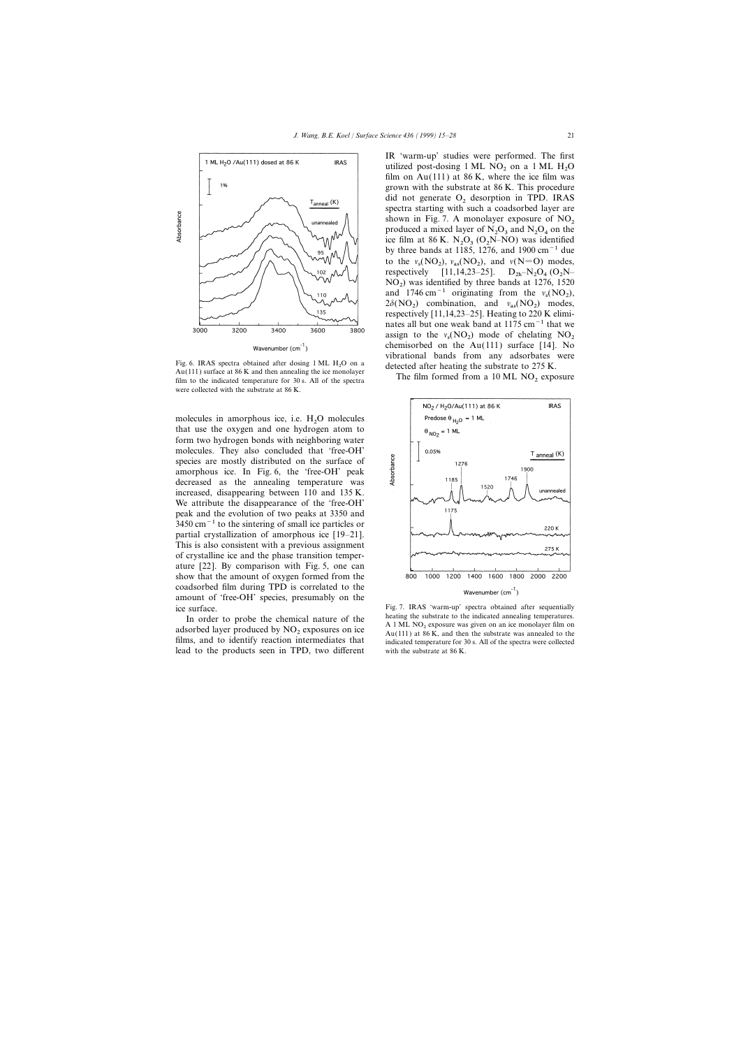

For a detection of  $\frac{X_0(11)}{10}$  surface at 86 K and then annealing the telectromology.<br>The film formed from a 10 ML NO<sub>2</sub> exposure film to the indicated temperature for 30 s. All of the spectra were collected with the substrate at 86 K.

molecules in amorphous ice, i.e.  $H_2O$  molecules<br>that we the express and are hydrogen atom to that use the oxygen and one hydrogen atom to form two hydrogen bonds with neighboring water molecules. They also concluded that 'free-OH' species are mostly distributed on the surface of amorphous ice. In Fig. 6, the 'free-OH' peak decreased as the annealing temperature was increased, disappearing between 110 and 135 K. We attribute the disappearance of the 'free-OH' peak and the evolution of two peaks at 3350 and  $3450 \text{ cm}^{-1}$  to the sintering of small ice particles or partial crystallization of amorphous ice [19–21]. This is also consistent with a previous assignment of crystalline ice and the phase transition temperature [22]. By comparison with Fig. 5, one can show that the amount of oxygen formed from the coadsorbed film during TPD is correlated to the amount of 'free-OH' species, presumably on the

lead to the products seen in TPD, two different with the substrate at 86 K.

IR 'warm-up' studies were performed. The first utilized post-dosing  $1 \text{ ML NO}_2$  on a  $1 \text{ ML H}_2\text{O}$ film on  $Au(111)$  at 86 K, where the ice film was grown with the substrate at 86 K. This procedure did not generate  $O<sub>2</sub>$  desorption in TPD. IRAS spectra starting with such a coadsorbed layer are shown in Fig. 7. A monolayer exposure of  $NO_2$ <br>produced a mixed layer of  $N_2O_3$  and  $N_2O_4$  on the<br>iso film at 26 K, N.O. (O.N. NO) was identified ice film at 86 K.  $N_2O_3$  ( $O_2N-NO$ ) was identified<br>by three hands at 1185, 1276, and 1000 cm<sup>-1</sup> due by three bands at 1185, 1276, and 1900 cm−1 due to the  $v_s(NO_2)$ ,  $v_{as}(NO_2)$ , and  $v(N=O)$  modes, respectively [11,14,23–25].  $D_{2h} = N_2O_4 (O_2N-$ <br>NO ) was identified by three hands at 1276–1520.  $NO<sub>2</sub>$ ) was identified by three bands at 1276, 1520 and 1746 cm<sup>-1</sup> originating from the  $v_s(\text{NO}_2)$ ,  $2\delta(\text{NO}_2)$  combination, and  $v_{\text{as}}(\text{NO}_2)$  modes, respectively [11,14,23–25]. Heating to 220 K eliminates all but one weak band at 1175 cm−1 that we assign to the  $v_s(NO_2)$  mode of chelating  $NO_2$  chemisorbed on the Au(111) surface [14]. No chemisorbed on the  $Au(111)$  surface [14]. No Fig. 6. IRAS spectra obtained after dosing 1 ML  $H_2O$  on a<br>Au(111) surface at 86 K and then annealing the ice monolayer<br>Au(111) surface at 86 K and then annealing the ice monolayer



ice surface.<br>
Fig. 7. IRAS 'warm-up' spectra obtained after sequentially<br>
In order to probe the obemical nature of the heating the substrate to the indicated annealing temperatures. In order to probe the chemical nature of the heating the substrate to the indicated annealing temperatures.<br>
adsorbed layer produced by  $NO_2$  exposures on ice<br>
films, and to identify reaction intermediates that<br>
films,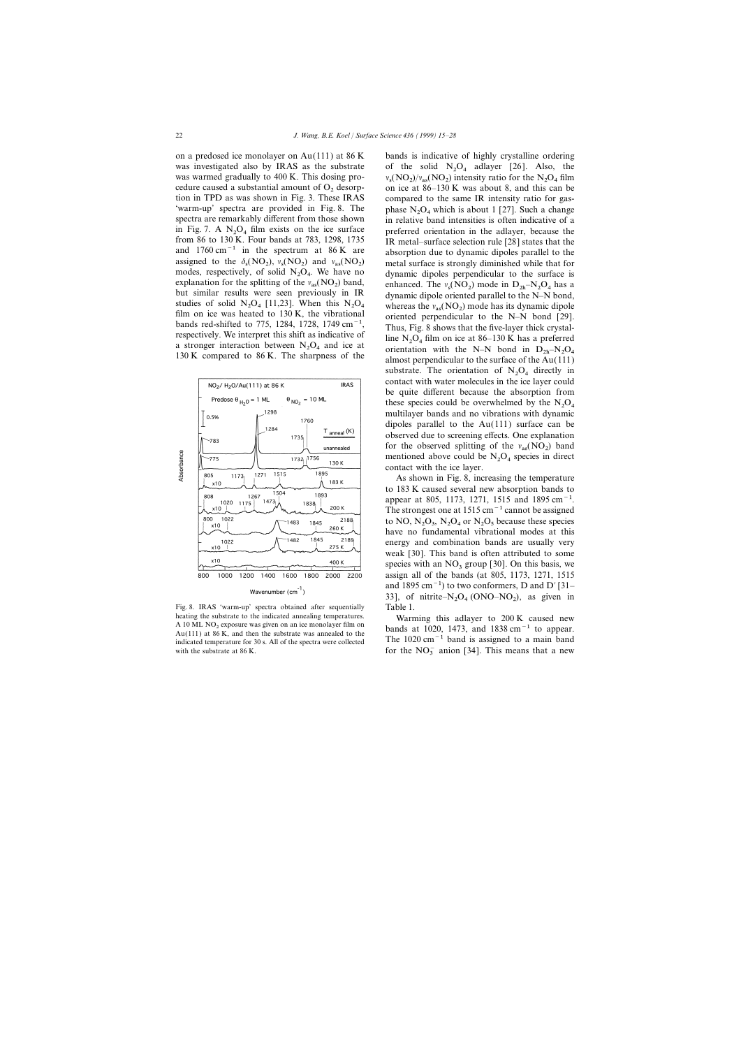was investigated also by IRAS as the substrate was warmed gradually to 400 K. This dosing procedure caused a substantial amount of  $O_2$  desorption in TPD as was shown in Fig. 3. These IRAS 'warm-up' spectra are provided in Fig. 8. The spectra are remarkably different from those shown in Fig. 7. A  $N_2O_4$  film exists on the ice surface<br>from 86 to 130 K. Four bands at 783, 1298, 1735 assigned to the  $\delta_s(\text{NO}_2)$ ,  $v_s(\text{NO}_2)$  and  $v_{as}(\text{NO}_2)$ modes, respectively, of solid  $N_2O_4$ <br>exploration for the orbital solid  $N_2O_4$ explanation for the splitting of the  $v_{as}(NO_2)$  band,<br>but similar results were seen previously in IR studies of solid N<sub>2</sub>O<sub>4</sub> [11,23]. When this N<sub>2</sub>O<sub>4</sub> film on ice was heated to 130 K, the vibrational



Fig. 8. IRAS 'warm-up' spectra obtained after sequentially Table 1.<br>
heating this adlayer to 200 K caused new with the substrate at  $86$  K.

on a predosed ice monolayer on Au(111) at  $86 K$  bands is indicative of highly crystalline ordering of the solid  $N_2O_4$  adlayer [26]. Also, the on ice at 86–130 K was about 8, and this can be  $(NO_2)/v_{\text{as}}(NO_2)$  intensity ratio for the  $N_2O_4$  film compared to the same IR intensity ratio for gasphase  $N_2O_4$  which is about 1 [27]. Such a change in relative band intensities is often indicative of a preferred orientation in the adlayer, because the IR metal–surface selection rule  $[28]$  states that the and 1760 cm−1 in the spectrum at 86 K are absorption due to dynamic dipoles parallel to the ) metal surface is strongly diminished while that for dynamic dipoles perpendicular to the surface is ) band, enhanced. The  $v_s(\overline{NO}_2)$  mode in  $D_{2h} - N_2O_4$  has a in IR but similar results were seen previously in IR dynamic dipole oriented parallel to the N–N bond,<br>studies of solid N<sub>2</sub>O<sub>4</sub> [11,23]. When this N<sub>2</sub>O<sub>4</sub> whereas the  $v_{as}(\text{NO}_2)$  mode has its dynamic dipole  $O_4$  whereas the  $v_{\text{as}}(NO_2)$ studies of solid N<sub>2</sub>O<sub>4</sub> [11,25]. Where this N<sub>2</sub>O<sub>4</sub> whereas the  $v_{as}(\text{NO}_2)$  mode has its dynamic dipole<br>film on ice was heated to 130 K, the vibrational<br>bands red-shifted to 775, 1284, 1728, 1749 cm<sup>-1</sup>,<br>respectively Espectively. We interpret this sint as indicative of the N<sub>2</sub>O<sub>4</sub> film on ice at 86–130 K has a preferred<br>a stronger interaction between N<sub>2</sub>O<sub>4</sub> and ice at orientation with the N–N bond in D<sub>2h</sub>–N<sub>2</sub>O<sub>4</sub><br>130 K compared t 130 K compared to 86 K. The sharpness of the  $\frac{4 \text{ m o}}{\text{almost perpendicular to the surface of the Au}(111)}$ substrate. The orientation of  $N_2O_4$  directly in contact with water molecules in the ice layer could be quite different because the absorption from these species could be overwhelmed by the  $N_2O_4$ multilayer bands and no vibrations with dynamic dipoles parallel to the Au(111) surface can be observed due to screening effects. One explanation for the observed splitting of the  $v_{\text{as}}(NO_2)$  band mentioned above could be  $N_2O_4$  species in direct contact with the ice layer.

> As shown in Fig. 8, increasing the temperature to 183 K caused several new absorption bands to appear at 805, 1173, 1271, 1515 and 1895 cm<sup>-1</sup>. The strongest one at  $1515 \text{ cm}^{-1}$  cannot be assigned to NO,  $N_2O_3$ ,  $N_2O_4$  or  $N_2O_5$  because these species have no fundamental vibrational modes at this energy and combination bands are usually very weak [30]. This band is often attributed to some species with an  $NO<sub>3</sub>$  group [30]. On this basis, we assign all of the bands (at 805, 1173, 1271, 1515 and 1895 cm<sup>-1</sup>) to two conformers, D and D'[31– 33], of nitrite– $N_2O_4$  (ONO–NO<sub>2</sub>), as given in

A 10 ML NO<sub>2</sub> exposure was given on an ice monolayer film on<br>Au(111) at 86 K, and then the substrate was annealed to the  $\frac{\text{Au}(11)}{\text{di} \cdot \text{d} \cdot \text{d} \cdot \text{d} \cdot \text{d} \cdot \text{d} \cdot \text{d} \cdot \text{d} \cdot \text{d} \cdot \text{d} \cdot \text{d} \cdot \text{d} \cdot \text{d} \cdot \text{d} \cdot \text{d} \cdot \text{d} \cdot \text{d} \cdot \text{d} \cdot \text{d} \cdot \text{d} \cdot \text{d} \cdot \text{d} \cdot \text{d} \cdot \text{d} \cdot \text{d} \cdot \text{d} \cdot \text{d} \cdot \text{d} \cdot \text{d} \cdot \text{d} \cdot$ for the  $NO_3^-$  anion [34]. This means that a new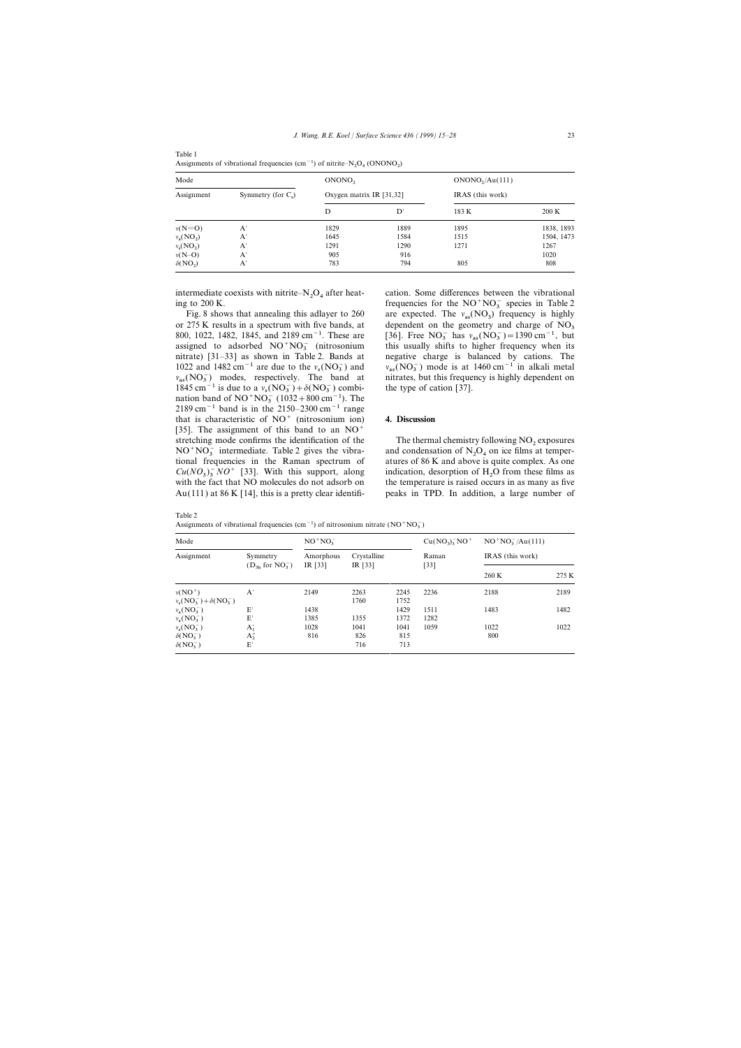| Assignments of vibrational frequencies $(\text{cm}^{-1})$ of nitrite–N <sub>2</sub> O <sub>4</sub> (ONONO <sub>2</sub> ) |                       |                          |      |                             |            |  |  |  |  |  |
|--------------------------------------------------------------------------------------------------------------------------|-----------------------|--------------------------|------|-----------------------------|------------|--|--|--|--|--|
| Mode                                                                                                                     |                       | ONONO <sub>2</sub>       |      | ONONO <sub>2</sub> /Au(111) |            |  |  |  |  |  |
| Assignment                                                                                                               | Symmetry (for $C_s$ ) | Oxygen matrix IR [31,32] |      | IRAS (this work)            |            |  |  |  |  |  |
|                                                                                                                          |                       | D                        | D'   | 183 K                       | 200 K      |  |  |  |  |  |
| $v(N=O)$                                                                                                                 | A'                    | 1829                     | 1889 | 1895                        | 1838, 1893 |  |  |  |  |  |
| $v_a(\text{NO}_2)$                                                                                                       | A'                    | 1645                     | 1584 | 1515                        | 1504, 1473 |  |  |  |  |  |
| $v_s(NO_2)$                                                                                                              | A                     | 1291                     | 1290 | 1271                        | 1267       |  |  |  |  |  |
| $v(N-O)$                                                                                                                 | $\mathsf{A}^{\cdot}$  | 905                      | 916  |                             | 1020       |  |  |  |  |  |
| $\delta(NO_2)$                                                                                                           | A'                    | 783                      | 794  | 805                         | 808        |  |  |  |  |  |

Table 1

intermediate coexists with nitrite–N<sub>2</sub>O<sub>4</sub> after heating to 200 K.

Fig. 8 shows that annealing this adlayer to  $260$ 800, 1022, 1482, 1845, and 2189 cm<sup>-1</sup>. These are  $(NO<sub>3</sub><sup>-</sup>)$  and  $v_{\rm as}({\rm NO}_3^-)$ 1845 cm<sup>-1</sup> is due to a  $v_s(NO_3^-) + \delta(NO_3^-)$  combi-<br>notion hand of NO<sup>+</sup>NO<sup>−</sup> (1022 + 800 cm<sup>-1</sup>). The nation band of  $NO<sup>+</sup>NO<sub>3</sub><sup>-</sup> (1032+800 cm<sup>-1</sup>).$  The 2189 cm<sup>-1</sup> band is in the 2150–2300 cm<sup>-1</sup> range that is characteristic of NO+ (nitrosonium ion) **4. Discussion** [35]. The assignment of this band to an  $NO<sup>+</sup>$  $\text{NO}^+\text{NO}_3^-$  intermediate. Table 2 gives the vibra-<br>tional frequencies in the Barnar spectrum of a stures of 86 K and above is quite complex. As and  $Cu(NO<sub>3</sub>)<sub>3</sub><sup>-</sup> NO<sup>+</sup>$  [33]. With this support, along indication, desorption of H<sub>2</sub>O from these films as  $\frac{1}{2}$ 

cation. Some differences between the vibrational frequencies for the  $NO<sup>+</sup>NO<sub>3</sub><sup>-</sup>$  species in Table 2<br>Fig. 8 shows that appealing this adlarge to 260 see appealed. The  $v(NO<sub>3</sub>)$  frequency is highly  $_{\text{as}}(\text{NO}_3)$  frequency is highly or 275 K results in a spectrum with five bands, at dependent on the geometry and charge of  $NO<sub>3</sub>$  $\frac{1}{3}$  has  $v_{as}(\text{NO}_3^-)=1390 \text{ cm}^{-1}$ , but assigned to adsorbed  $NO^+NO_3^-$  (nitrosonium this usually shifts to higher frequency when its nitrate) [31–33] as shown in Table 2. Bands at negative charge is balanced by cations. The negative charge is balanced by cations. The  $1022$  and  $1482 \text{ cm}^{-1}$  are due to the  $v_s(\text{NO}_3^-)$  and  $v_{as}(\text{NO}_3^-)$  mode is at  $1460 \text{ cm}^{-1}$  in alkali metal superchange is  $\frac{1}{2}$  in all metal superchange is  $\frac{1}{2}$  in all metal superchange is  $\frac{1}{2}$  in al nitrates, but this frequency is highly dependent on the type of cation [37].

stretching mode confirms the identification of the The thermal chemistry following  $NO_2$  exposures  $NO^+NO_3^-$  intermediate. Table 2 gives the vibra- and condensation of  $N_2O_4$  on ice films at tempertional frequencies in the Raman spectrum of atures of 86 K and above is quite complex. As one with the fact that NO molecules do not adsorb on the temperature is raised occurs in as many as five Au(111) at 86 K [14], this is a pretty clear identifi- peaks in TPD. In addition, a large number of

Table 2

Assignments of vibrational frequencies (cm<sup>-1</sup>) of nitrosonium nitrate ( $NO<sup>+</sup>NO<sub>3</sub>$ )

| Mode                                      |                                     | $NO^+NO_3^-$           |                          | $Cu(NO_3)_{3}^{-}NO^{+}$ | $NO^{+}NO_{3}^{-}/Au(111)$ |                  |       |
|-------------------------------------------|-------------------------------------|------------------------|--------------------------|--------------------------|----------------------------|------------------|-------|
| Assignment                                | Symmetry<br>$(D_{3h}$ for $NO_3^-)$ | Amorphous<br>IR $[33]$ | Crystalline<br>IR $[33]$ |                          | Raman<br>[33]              | IRAS (this work) |       |
|                                           |                                     |                        |                          |                          |                            | 260 K            | 275 K |
| $v(NO^+)$<br>$v_s(NO_3^-)+\delta(NO_3^-)$ | A'                                  | 2149                   | 2263<br>1760             | 2245<br>1752             | 2236                       | 2188             | 2189  |
| $v_{a} (NO_{3}^{-})$                      | $\mathbf{E}'$                       | 1438                   |                          | 1429                     | 1511                       | 1483             | 1482  |
| $v_{\rm a}({\rm NO}_3^-)$                 | E'                                  | 1385                   | 1355                     | 1372                     | 1282                       |                  |       |
| $v_s(NO_3^-)$                             | $A'_1$                              | 1028                   | 1041                     | 1041                     | 1059                       | 1022             | 1022  |
| $\delta(NO_3^-)$                          | $A_2''$                             | 816                    | 826                      | 815                      |                            | 800              |       |
| $\delta(NO_3^-)$                          | E'                                  |                        | 716                      | 713                      |                            |                  |       |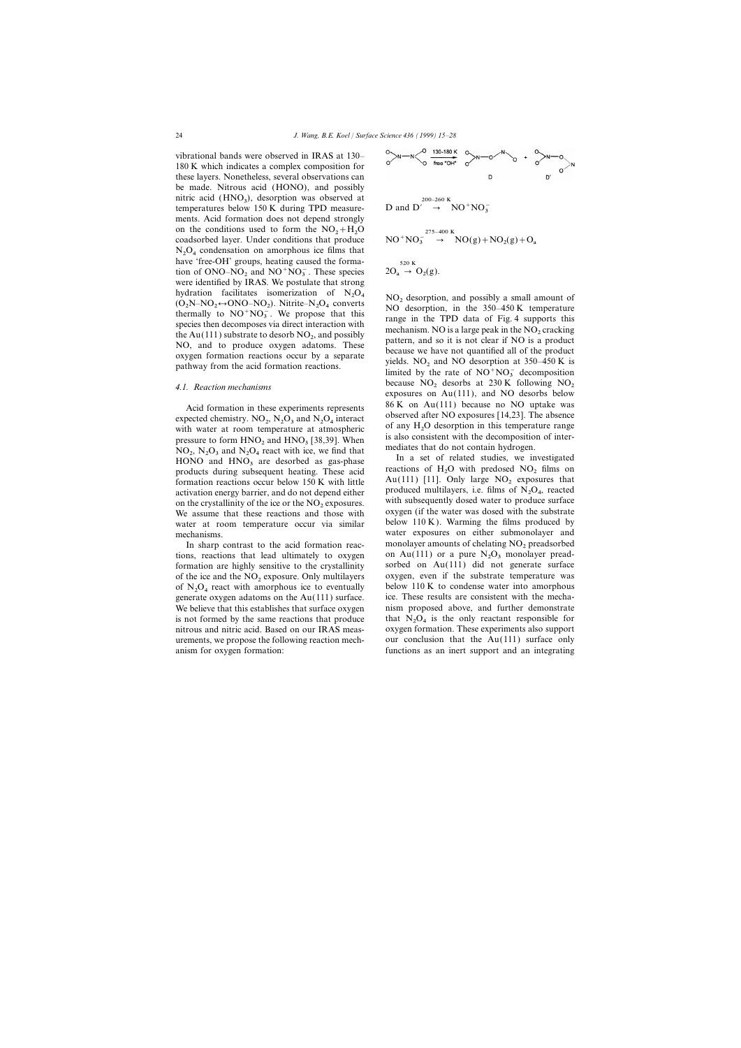vibrational bands were observed in IRAS at 130– 180 K which indicates a complex composition for these layers. Nonetheless, several observations can be made. Nitrous acid (HONO), and possibly nitric acid  $(HNO<sub>3</sub>)$ , desorption was observed at  $t_{\text{amperotures}}$  below 150  $V$  during TPD measure. temperatures below 150 K during TPD measurements. Acid formation does not depend strongly on the conditions used to form the  $NO<sub>2</sub>+H<sub>2</sub>O$ coadsorbed layer. Under conditions that produce  $N_2O_4$  condensation on amorphous ice films that  $N_2O_4$  condensation amorphous ice films that have 'free-OH' groups, heating caused the formaflave fice-off groups, heating caused the forma-<br>tion of ONO–NO<sub>2</sub> and NO<sup>+</sup>NO<sub>3</sub>. These species  $2O_a \rightarrow O_2(g)$ . were identified by IRAS. We postulate that strong hydration facilitates isomerization of  $N_2O_4$ And the mand is isomerization of N<sub>2</sub>O<sub>4</sub> NO<sub>2</sub> desorption, and possibly a small amount of (O<sub>2</sub>N–NO<sub>2</sub>  $\leftrightarrow$ ONO–NO<sub>2</sub>). Nitrite–N<sub>2</sub>O<sub>4</sub> converts NO<sub>2</sub> desorption, in the 350–450 K temperature thermally to NO<sup>+</sup>NO<sub>3</sub>. We  $N-NO_2 \leftrightarrow ONO-NO_2$ ). Nitrite–N<sub>2</sub> the Au(111) substrate to desorb  $NO<sub>2</sub>$ , and possibly NO, and to produce oxygen adatoms. These

with water at room temperature at atmospheric pressure to form  $HNO<sub>2</sub>$  and  $HNO<sub>3</sub>$  [38,39]. When is also consistent with the decomposition of  $HNO<sub>2</sub>$  and  $N_{1}O<sub>1</sub>$  and  $N_{2}O<sub>2</sub>$  and  $N_{3}O<sub>3</sub>$  re  $NQ_2$ ,  $N_2Q_3$  and  $N_2Q_4$  react with ice, we find that mediates that do not contain hydrogen.<br>
In a set of related studies, we in HONO and HNO<sub>3</sub> are desorbed as gas-phase In a set of related studies, we investigated products during subsequent heating. These acid reactions of H<sub>2</sub>O with predosed NO<sub>2</sub> films on formation reactions occur below 150 K w

tions, reactions that lead ultimately to oxygen formation are highly sensitive to the crystallinity



$$
D \text{ and } D' \rightarrow NO^+ NO_3^-
$$

$$
NO^{+}NO_{3}^{-275-400 K}
$$
  
\n
$$
NO(g) + NO_{2}(g) + O_{a}
$$
  
\n
$$
SO_{a} \rightarrow O_{2}(g).
$$
  
\n
$$
SO_{a} \rightarrow O_{2}(g).
$$

thermally to  $NO^+NO_3^-$ . We propose that this species then decomposes via direct interaction with the TPD data of Fig. 4 supports this mechanism. NO is a large peak in the  $NO_2$  cracking pattern, and so it is not clear if the Au(111) substrate to desorb NO<sub>2</sub>, and possibly<br>
NO, and to produce oxygen adatoms. These<br>
oxygen formation reactions occur by a separate<br>
pathway from the acid formation reactions.<br>  $\frac{\text{poly}}{\text{poly}}$ <br>  $\frac{\text{poly}}{\text{poly}}$ <br>  $\$ limited by the rate of  $NO<sup>+</sup>NO<sub>3</sub><sup>-</sup>$  decomposition 4.1. Reaction mechanisms because NO<sub>2</sub> desorbs at 230 K following NO<sub>2</sub><br>exposures on Au(111), and NO desorbs below Acid formation in these experiments represents 86 K on Au(111) because no NO uptake was<br>expected chemistry. NO<sub>2</sub>, N<sub>2</sub>O<sub>3</sub> and N<sub>2</sub>O<sub>4</sub> interact observed after NO exposures [14,23]. The absence<br>of any H<sub>2</sub>O desorption in of any  $H_2O$  desorption in this temperature range<br>is also consistent with the decomposition of inter-

formation reactions occur below 150 K with little  $\begin{array}{c} \text{Au}(111) \\ \text{H1}. \text{Only large NO}_2 \text{ exposures that activation energy barrier, and do not depend either} \end{array}$ activation energy barrier, and do not depend either produced multilayers, i.e. films of  $N_2O_4$ , reacted<br>on the crystallinity of the ice or the NO<sub>2</sub> exposures.<br>We assume that these meatiens and these with subsequently d We assume that these reactions and those with oxygen (if the water was dosed with the substrate water at room temperature occur via similar below 110 K). Warming the films produced by mechanisms. water exposures on either submonolayer and In sharp contrast to the acid formation reac- monolayer amounts of chelating  $NO<sub>2</sub>$  preadsorbed on Au(111) or a pure  $N_2O_3$  monolayer preadsorbed on  $Au(111)$  did not generate surface of the ice and the NO<sub>2</sub> exposure. Only multilayers oxygen, even if the substrate temperature was of N<sub>2</sub>O<sub>4</sub> react with amorphous ice to eventually below 110 K to condense water into amorphous of  $N_2O_4$  react with amorphous ice to eventually below 110 K to condense water into amorphous concrete outcome of the Au(111) our foco generate oxygen adatoms on the Au(111) surface. ice. These results are consistent with the mecha-We believe that this establishes that surface oxygen ism proposed above, and further demonstrate is not formed by the same reactions that produce it at  $N_2O_4$  is the only reactant responsible for nitrous and nitric acid. Based on our IRAS meas- oxygen formation. These experiments also support urements, we propose the following reaction mech- our conclusion that the Au(111) surface only anism for oxygen formation: functions as an inert support and an integrating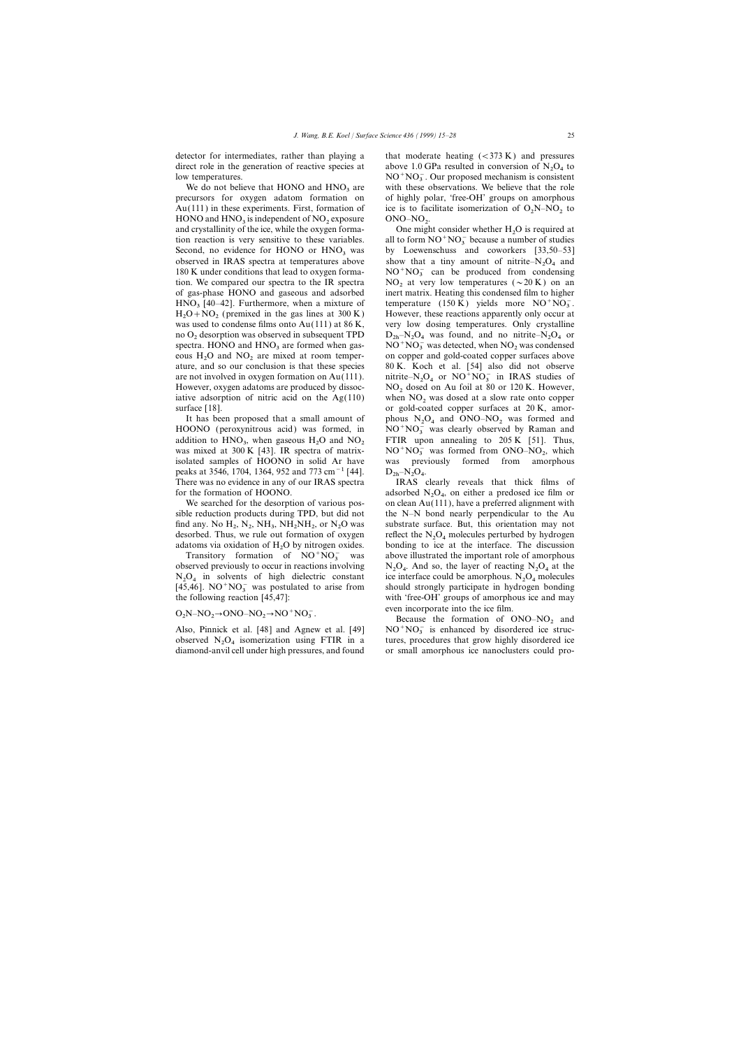detector for intermediates, rather than playing a that moderate heating  $(<373 \text{ K})$  and pressures direct role in the generation of reactive species at  $\qquad$  above 1.0 GPa resulted in conversion of N<sub>2</sub>O<sub>4</sub> to  $\qquad$  NO<sup>+</sup>NO<sup>-</sup> Our generated masks in a consistent low temperatures.

We do not believe that HONO and  $HNO<sub>3</sub>$  are precursors. for oxygen adatom formation on Au(111) in these experiments. First, formation of the set is to facilitate isomerization of  $O_2N-NO_2$  to  $HONO$  and  $HNO$  is independent of  $NO$  arracuration  $ONO$  $HONO$  and  $HNO<sub>3</sub>$  is independent of  $NO<sub>2</sub>$  $\text{exposure} \qquad \text{ONO-NO}_2.$ tion reaction is very sensitive to these variables. observed in IRAS spectra at temperatures above 180 K under conditions that lead to oxygen forma- $N_{\rm O}$  and  $N_{\rm O}$  and  $N_{\rm O}$  and  $N_{\rm O}$  and  $N_{\rm O}$  and  $N_{\rm O}$  and  $N_{\rm O}$  are produced from condensing tion.  $N_{\rm O}$  can be produced from condensing tion.  $N_{\rm O}$  can be produced from condensing tion.  $N_{\rm$ of gas-phase HONO and gaseous and adsorbed  $HNO<sub>3</sub>$  [40–42]. Furthermore, when a mixture of temperature (150 K) yields more  $NO<sup>+</sup>NO<sub>3</sub>$ .<br>However, these restiances restiance approach with conventional contract the second of  $H_2O + NO_2$  (premixed in the gas lines at 300 K) However, these reactions apparently only occur at  $H_2O + NO_2$  (premixed in the gas lines at  $\Delta v(111)$  of 86 K and  $V_2$  and  $\Delta v(211)$  or  $\Delta v(111)$  or  $\Delta v(111)$  and  $\Delta v(1$ no O<sub>2</sub> desorption was observed in subsequent TPD  $D_{2h} - N_2O_4$  was found, and no nitrite– $N_2O_4$  or spectra. HONO and  $HNO<sub>3</sub>$  are formed when gaseous  $H_2O$  and  $NO_2$  are mixed at room temperare not involved in oxygen formation on Au(111). initrite–N<sub>2</sub>O<sub>4</sub> or NO<sup>+</sup>NO<sub>3</sub> in IRAS studies of<br>However, sweep address are not used by dissage. However, oxygen adatoms are produced by dissoc-<br>iative adsorption of nitric acid on the Ag(110) when  $NO_2$  was dosed at a slow rate onto copper iative adsorption of nitric acid on the Ag(110) when  $NO<sub>2</sub>$  was dosed at a slow rate onto copper surface [18].

HOONO (peroxynitrous acid) was formed, in addition to  $HNO<sub>3</sub>$ , when gaseous  $H<sub>2</sub>O$  and  $NO<sub>2</sub>$  FTIR upon annealing to 205 K [51]. Thus,  $\frac{300 \text{ V}}{100 \text{ N}}$  and  $\frac{300 \text{ V}}{100 \text{ N}}$  and  $\frac{300 \text{ V}}{100 \text{ N}}$  and  $\frac{300 \text{ V}}{100 \text{ N}}$  and  $\frac{300 \$ was mixed at 300 K [43]. IR spectra of matrixpeaks at 3546, 1704, 1364, 952 and 773 cm<sup>-1</sup> [44].  $D_{2h} - N_2O_4$ .<br>There was no evidence in any of our IRAS spectra IRAS clearly reveals that thick films of There was no evidence in any of our IRAS spectra for the formation of HOONO.<br>We searched for the desorption of various pos-

sible reduction products during TPD, but did not the N–N bond nearly perpendicular to the Au find any. No  $H_2$ , N<sub>2</sub>, NH<sub>3</sub>, NH<sub>2</sub>NH<sub>2</sub>, or N<sub>2</sub>O was substrate surface. But, this orientation may not described Thus, we subset formation of exustant reflect the N<sub>1</sub>O, melecules perturbed by hydrogen desorbed. Thus, we rule out formation of oxygen reflect the  $N_2O_4$  molecules perturbed by hydrogen adatoms via oxidation of H<sub>2</sub>O by nitrogen oxides. bonding to ice at the interface. The discussion

Transitory formation of  $NO+NO<sub>3</sub>$ Transitory formation of  $NO^+NO_3^-$  was above illustrated the important role of amorphous observed previously to occur in reactions involving  $N_2O_4$ . And so, the layer of reacting  $N_2O_4$  at the observed previously to occur in reactions involving  $N_2O_4$ . And so, the layer of reacting  $N_2O_4$  at the  $N_1O_4$  in reactions of high dialecting constant  $N_2O_4$  in solvents of high dielectric constant ice interface could be amorphous.  $N_2$ <br>LAS 461, NO<sup>+</sup>NO<sup>-</sup> was postulated to griss from a should strangly portisinate in hydro [45,46]. NO<sup>+</sup>NO<sub>3</sub> was postulated to arise from the following reaction [45,47]:

$$
O_2N-NO_2 \rightarrow ONO-NO_2 \rightarrow NO^+NO_3^-.
$$

observed  $N_2O_4$  isomerization using FTIR in a diamond-anvil cell under high pressures, and found  $NO^{+}NO_{3}^{-}$ . Our proposed mechanism is consistent with these observations. We believe that the role of highly polar, 'free-OH' groups on amorphous

and crystallinity of the ice, while the oxygen forma- One might consider whether  $H_2O$  is required at all to form  $NO<sup>+</sup>NO<sub>3</sub><sup>-</sup>$  because a number of studies Second, no evidence for HONO or  $HNO<sub>3</sub>$  was by Loewenschuss and coworkers [33,50–53] show that a tiny amount of nitrite– $N_2O_4$  and tion. We compared our spectra to the IR spectra  $NO_2$  at very low temperatures ( $\sim 20 \text{ K}$ ) on an of gas-phase HONO and gaseous and adsorbed inert matrix. Heating this condensed film to higher was used to condense films onto  $Au(111)$  at 86 K, very low dosing temperatures. Only crystalline  $NO<sup>+</sup>NO<sub>3</sub><sup>-</sup>$  was detected, when  $NO<sub>2</sub>$  was condensed eous  $H_2O$  and  $NO_2$  are mixed at room temper-<br>attraces above attraction is that these species and gold-coated copper surfaces above<br>attraction is that these species and  $K$ . Koch et al. [54] also did not observe 80 K. Koch et al. [54] also did not observe or gold-coated copper surfaces at  $20 \text{ K}$ , amor-It has been proposed that a small amount of phous  $N_2O_4$  and  $ONO-NO_2$  was formed and  $ONO_4$  (executively exist) was formed in  $N_2O+NO^-$  was electric phonon and  $NO^{+}NO_{3}^{-}$  was clearly observed by Raman and FTIR upon annealing to 205 K [51]. Thus,  $\frac{1}{3}$  was formed from ONO–NO<sub>2</sub>, which isolated samples of HOONO in solid Ar have was previously formed from amorphous O<sub>4</sub>.

 $O_4$ , on either a predosed ice film or<br> $(111)$  have a preferred elignment with on clean Au(111), have a preferred alignment with reflect the  $N_2O_4$  molecules perturbed by hydrogen adatoms via oxidation of  $H_2O$  by nitrogen oxides. bonding to ice at the interface. The discussion  $T_{\text{resist}}$  formation of  $NOC^+NG^-$  and a share illustrated the important relation of emangles and ice interface could be amorphous.  $N_2O_4$  molecules<br>should strongly participate in hydrogen bonding with 'free-OH' groups of amorphous ice and may

 $O_2N-NO_2 \rightarrow ONO-NO_2 \rightarrow NO^+NO_3^-$ .<br>
Because the formation of  $ONO-NO_2$  and<br>
Also Dinnisk at al. [48] and Agrees at al. [40]  $NO^+NO^-$  is antenneed by disordered iso atmo-Also, Pinnick et al. [48] and Agnew et al. [49]  $NO^{+}NO_3^{-}$  is enhanced by disordered ice struc-<br>charged N.O. isomorization wine ETID in a trunc grossedness that even highly disordered ice tures, procedures that grow highly disordered ice<br>or small amorphous ice nanoclusters could pro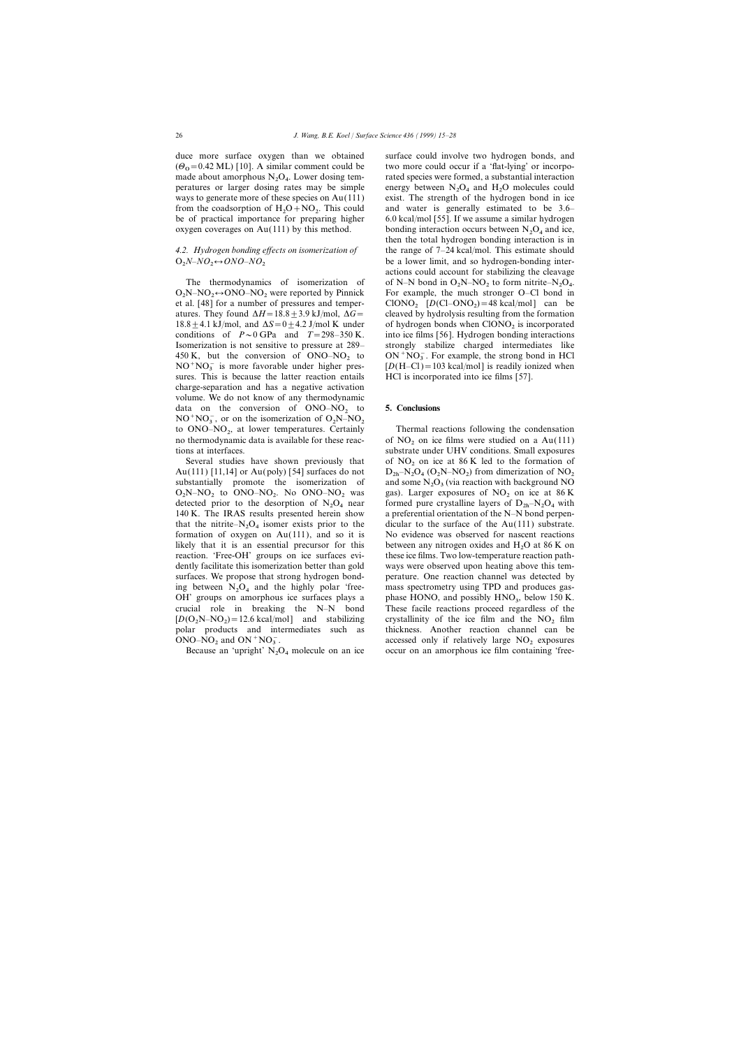duce more surface oxygen than we obtained surface could involve two hydrogen bonds, and  $(\Theta_0 = 0.42 \text{ ML})$  [10]. A similar comment could be two more could occur if a 'flat-lying' or incorpomade about amorphous  $N_2O_4$ peratures or larger dosing rates may be simple energy between  $N_2O_4$  and  $H_2O$  molecules could ways to generate more of these species on Au(111) exist. The strength of the hydrogen bond in ice from the coadsorption of  $H_2O + NO_2$ . This could and water is generally estimated to be 3.6–<br>be of practical importance for preparing higher 6.0 kcal/mol [55]. If we assume a similar hydrogen  $O + NO<sub>2</sub>$ . This could

# O2 *N–NO*<sup>2</sup>

 $O_2N-NO_2$ <br>at al. [49] 450 K, but the conversion of ONO–NO<sub>2</sub> to NO<sup>+</sup>NO<sub>2</sub> is more favorable under higher pressures. This is because the latter reaction entails charge-separation and has a negative activation volume. We do not know of any thermodynamic data on the conversion of ONO–NO<sub>2</sub> to 5. Conclusions  $NO<sup>+</sup>NO<sub>3</sub>$ , or on the isomerization of  $O<sub>2</sub>$ <br>to  $ONO<sub>2</sub>$  of lower temperatures. to  $ONO-NO<sub>2</sub>$ , at lower temperatures. Certainly no thermodynamic data is available for these reac-<br>substrate under UHV conditions. Small exposures<br>substrate under UHV conditions. Small exposures

Au(111) [11,14] or Au(poly) [54] surfaces do not substantially promote the isomerization of Au(111) [11,14] or Au(poly) [54] surfaces do not  $D_{2h} - N_2O_4 (O_2N - NO_2)$  from dimerization of NO<sub>2</sub> substantially promote the isomerization of and some N<sub>2</sub>O<sub>3</sub> (via reaction with background NO<br>O N NO to ONO NO NO NO was  $O_2N-NO_2$  to  $ONO-NO_2$ detected prior to the desorption of  $N_2O_4$  near<br>140 K, The IPAS goults presented began above a preferential existation of the N N hand person detected prior to the desorption of  $N_2O_4$  near 140 K. The IRAS results presented herein show that the nitrite– $N_2O_4$  isomer exists prior to the dicular to the surface of the Au(111) substrate. formation of oxygen on Au(111), and so it is No evidence was observed for nascent reactions likely that it is an essential precursor for this between any nitrogen oxides and  $H_2O$  at 86 K on reaction. 'Free-OH' groups on ice surfaces evi-<br>these ice films. Two low-temperature reaction pathreaction. 'Free-OH' groups on ice surfaces evidently facilitate this isomerization better than gold ways were observed upon heating above this temsurfaces. We propose that strong hydrogen bond- perature. One reaction channel was detected by ing between  $N_2O_4$  and the highly polar 'free- mass spectrometry using TPD and produces gas-<br>OH' groups an ameribous iso surfaces plays a sphere HONO and possibly HNO below 150 K OH' groups on amorphous ice surfaces plays a crucial role in breaking the  $N-N$  bond  $[D(O_2N-NO_2)]$  $[D(O_2N-NO_2) = 12.6 \text{ kcal/mol}]$  and stabilizing crystallinity of the ice film and the NO<sub>2</sub> film polar products and intermediates such as thickness. Another reaction channel can be ONO–NO<sub>2</sub> and ON<sup>+</sup>NO<sub>3</sub>.

rated species were formed, a substantial interaction  $6.0$  kcal/mol [55]. If we assume a similar hydrogen oxygen coverages on Au(111) by this method. bonding interaction occurs between  $N_2O_4$  and ice, then the total hydrogen bonding interaction is in *4.2. Hydrogen bonding effects on isomerization of* the range of 7–24 kcal/mol. This estimate should be a lower limit, and so hydrogen-bonding interactions could account for stabilizing the cleavage The thermodynamics of isomerization of of N–N bond in  $O_2N-NO_2$  to form nitrite–N<sub>2</sub>O<sub>4</sub>.<br>No NO<sub>2</sub> ONO NO were reported by Diguisly For example, the much strenger O Cl hand in  $O_2N-NO_2 \leftrightarrow ONO-NO_2$  were reported by Pinnick For example, the much stronger O–Cl bond in et al. [48] for a number of pressures and temper- ClONO<sub>2</sub> [D(Cl–ONO<sub>2</sub>) = 48 kcal/mol] can be et al. [48] for a number of pressures and temper-<br>atures. They found  $\Delta H = 18.8 \pm 3.9$  kJ/mol,  $\Delta G =$  cleaved by hydrolysis resulting from the formation cleaved by hydrolysis resulting from the formation 18.8  $\pm$  4.1 kJ/mol, and  $\Delta S = 0 \pm$  4.2 J/mol K under of hydrogen bonds when ClONO<sub>2</sub> is incorporated conditions of  $P \sim 0$  GPa and  $T = 298-350$  K. into ice films [56]. Hydrogen bonding interactions into ice films [56]. Hydrogen bonding interactions Isomerization is not sensitive to pressure at 289– strongly stabilize charged intermediates like  $ON<sup>+</sup>NO<sub>3</sub>$ . For example, the strong bond in HCl [*D*(H–Cl)=103 kcal/mol] is readily ionized when HCl is incorporated into ice films [57].

Thermal reactions following the condensation substrate under UHV conditions. Small exposures Several studies have shown previously that of  $NO<sub>2</sub>$  on ice at 86 K led to the formation of  $O_4$  (O<sub>2</sub>N–NO<sub>2</sub>) gas). Larger exposures of  $NO<sub>2</sub>$  on ice at 86 K a preferential orientation of the N–N bond perpenphase HONO, and possibly HNO<sub>3</sub>, below 150 K. These facile reactions proceed regardless of the thickness. Another reaction channel can be accessed only if relatively large  $NO<sub>2</sub>$  exposures occur on an amorphous ice film containing 'free-Because an 'upright'  $N_2O_4$  molecule on an ice occur on an amorphous ice film containing 'free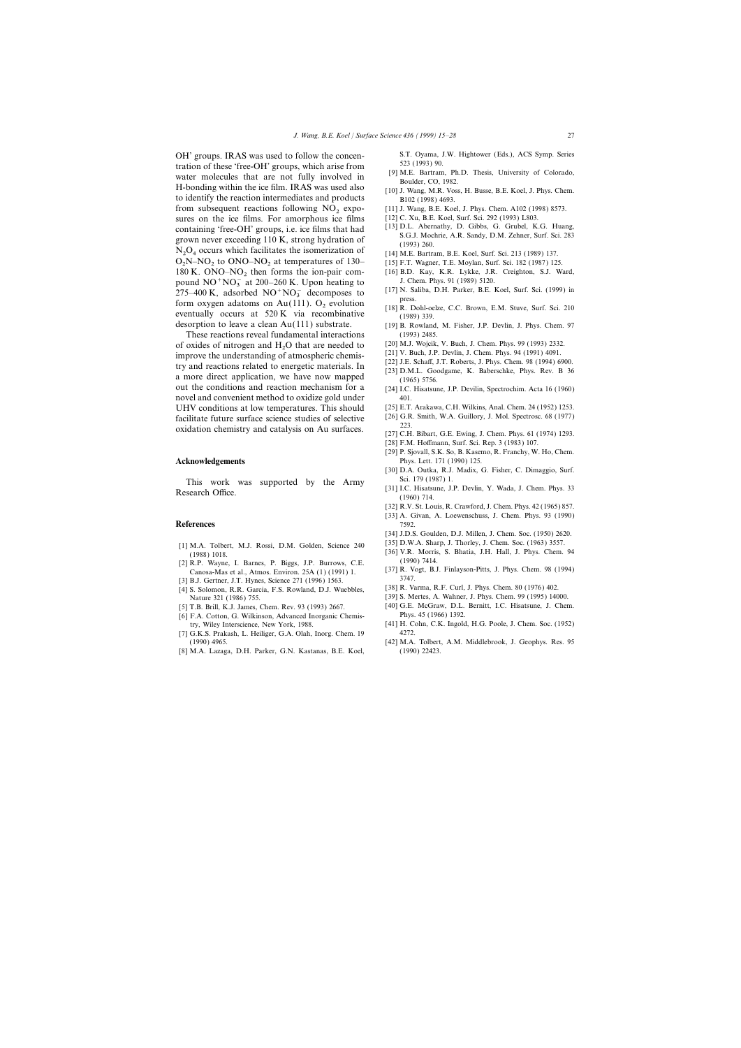OH' groups. IRAS was used to follow the concen-<br>
S.T. Oyama, J.W. Hightower (Eds.), ACS Symp. Series<br>
tration of these 'free OH' groups, which arise from<br>  $523$  (1993) 90. tration of these 'free-OH' groups, which arise from<br>water molecules that are not fully involved in [9] M.E. Bartram, Ph.D. Thesis, University of Colorado,<br>H-bonding within the ice film. IRAS was used also [10] J. Wang, M.R to identify the reaction intermediates and products  $\overrightarrow{B102}$  (1998) 4693. from subsequent reactions following  $NO<sub>2</sub>$  expo-<br>sures on the ice films For amorphous ice films [12] C. Xu, B.E. Koel, Surf. Sci. 292 (1993) L803. sures on the ice films. For amorphous ice films  $[12]$  C. Xu, B.E. Koel, Surf. Sci. 292 (1993) L803.<br>containing 'free-OH' groups i.e. ice films that had  $[13]$  D.L. Abernathy, D. Gibbs, G. Grubel, K.G. Huang, containing 'free-OH' groups, i.e. ice films that had [13] D.L. Abernathy, D. Gibbs, G. Grubel, K.G. Huang,<br>grown never exceeding 110 K, strong hydration of  $N_2O_4$  occurs which facilitates the isomerization of [14] M.E.  $O_2N-NO_2$  to  $ONO-NO_2$  at temperatures of 130– 180 K. ONO–NO<sub>2</sub> then forms the ion-pair com-<br>nound NO<sup>+</sup>NO<sub>2</sub> at 200–260 K. Upon heating to J. Chem. Phys. 91 (1989) 5120. pound  $NO^+NO_3^-$  at 200–260 K. Upon heating to  $J$ . Chem. Phys. 91 (1989) 5120.<br>275, 400 K. adaculad  $NO^+NO^-$  decompasses to [17] N. Saliba, D.H. Parker, B.E.  $\frac{17}{275-400}$  K, adsorbed NO<sup>+</sup>NO<sub>3</sub><sup>decomposes to [17] N. Saliba, D.H. Parker, B.E. Koel, Surf. Sci. (1999) in press.</sup> Form oxygen adatoms on Au(111). O<sub>2</sub> evolution [18] R. Dohl-oelze, C.C. Brown, E.M. Stuve, Surf. Sci. 210 eventually occurs at 520 K via recombinative (1989) 339.<br>
desorption to leave a clean Au(111) substrate. [19] B. Ro

These reactions reveal fundamental interactions (1993) 2485.<br>
oxides of nitrogen and H.O that are needed to [20] M.J. Wojcik, V. Buch, J. Chem. Phys. 99 (1993) 2332. of oxides of nitrogen and  $H_2O$  that are needed to [20] M.J. Wojcik, V. Buch, J. Chem. Phys. 99 (1993) 2332.<br>
[211 V. Buch, J.P. Devlin, J. Chem. Phys. 94 (1991) 4091. improve the understanding of atmospheric chemis-<br>try and reactions related to energetic materials. In<br>a more direct application, we have now mapped<br>(1965) 5756.<br>The schaff, J.T. Roberts, J. Phys. Chem. 98 (1994) 6900.<br>[23] out the conditions and reaction mechanism for a [24] I.C. Hisatsune, J.P. Devilin, Spectrochim. Acta 16 (1960) novel and convenient method to oxidize gold under 401. UHV conditions at low temperatures. This should [25] E.T. Arakawa, C.H. Wilkins, Anal. Chem. 24 (1952) 1253.<br>
facilitate future surface science studies of selective [26] G.R. Smith, W.A. Guillory, J. Mol. Spectrosc. 68 (19 facilitate future surface science studies of selective  $\frac{[26] \text{ G.R}}{223}$ oxidation chemistry and catalysis on Au surfaces.  $\frac{223}{[27] \text{ C.H. Bibart, G.E. Ewing, J. Chem. Phys. 61 (1974) 1293.}}$ 

This work was supported by the Army Sci. 179 (1987) 1.<br>
Research Office. (1960) 714. (1960) 714.

### **References** 7592.

- 
- 
- [3] B.J. Gertner, J.T. Hynes, Science 271 (1996) 1563.<br>[41 S. Solomon, R.R. Garcia, E.S. Rowland, D.J. Wuebbles [38] R. Varma, R.F. Curl, J. Phys. Chem. 80 (1976) 402.
- [4] S. Solomon, R.R. Garcia, F.S. Rowland, D.J. Wuebbles, Nature 321 (1986) 755. [39] S. Mertes, A. Wahner, J. Phys. Chem. 99 (1995) 14000.
- 
- [6] F.A. Cotton, G. Wilkinson, Advanced Inorganic Chemistry, Wiley Interscience, New York, 1988. [41] H. Cohn, C.K. Ingold, H.G. Poole, J. Chem. Soc. (1952)
- [7] G.K.S. Prakash, L. Heiliger, G.A. Olah, Inorg. Chem. 19 4272. (1990) 4965. [42] M.A. Tolbert, A.M. Middlebrook, J. Geophys. Res. 95
- [8] M.A. Lazaga, D.H. Parker, G.N. Kastanas, B.E. Koel, (1990) 22423.

- 
- 
- 
- 
- 
- 
- [15] F.T. Wagner, T.E. Moylan, Surf. Sci. 182 (1987) 125.<br>[16] B.D. Kay, K.R. Lykke, J.R. Creighton, S.J. Ward,
- 
- 
- 
- [19] B. Rowland, M. Fisher, J.P. Devlin, J. Phys. Chem. 97
- 
- 
- 
- 
- 
- 
- 
- 
- [28] F.M. Hoffmann, Surf. Sci. Rep. 3 (1983) 107.
- [29] P. Sjovall, S.K. So, B. Kasemo, R. Franchy, W. Ho, Chem. **Acknowledgements** Phys. Lett. 171 (1990) 125.
	- [30] D.A. Outka, R.J. Madix, G. Fisher, C. Dimaggio, Surf.
	-
	- [32] R.V. St. Louis, R. Crawford, J. Chem. Phys. 42 (1965) 857.
	- [33] A. Givan, A. Loewenschuss, J. Chem. Phys. 93 (1990)
	- [34] J.D.S. Goulden, D.J. Millen, J. Chem. Soc. (1950) 2620.
	-
- [1] M.A. Tolbert, M.J. Rossi, D.M. Golden, Science 240 [35] D.W.A. Sharp, J. Thorley, J. Chem. Soc. (1963) 3557.<br>(1988) 1018. [2] R.P. Wayne, I. Barnes, P. Biggs, J.P. Burrows, C.E. (1990) 7414.
	- Canosa-Mas et al., Atmos. Environ. 25A (1) (1991) 1. [37] R. Vogt, B.J. Finlayson-Pitts, J. Phys. Chem. 98 (1994) 2.<br>Canosa-Mas et al., Atmos. Environ. 25A (1) (1991) 1. [37] R. Vogt, B.J. Finlayson-Pitts, J. Phys. Chem.
		-
		-
- [40] G.E. McGraw, D.L. Bernitt, I.C. Hisatsune, J. Chem. [5] T.B. Brill, K.J. James, Chem. Rev. 93 (1993) 2667.
	-
	-